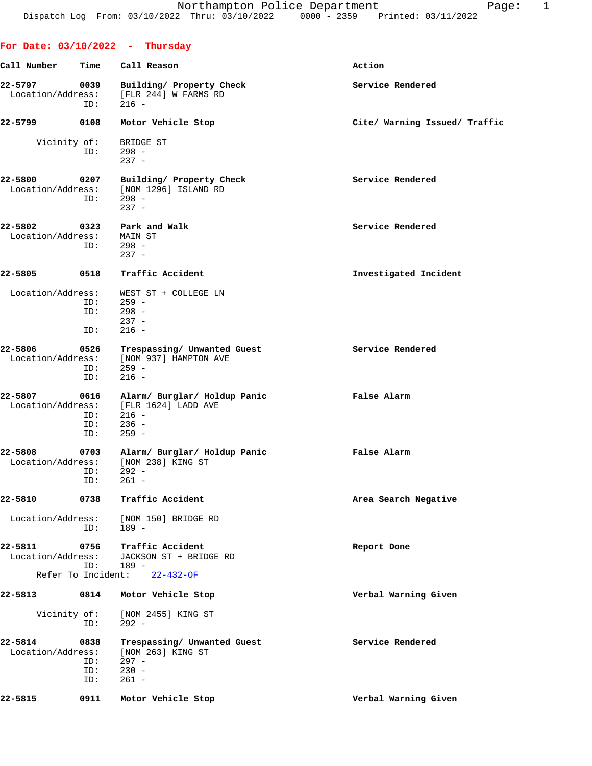**For Date: 03/10/2022 - Thursday**

|                                      |                           | 22-5797 0039 Building/Property Check<br>Location/Address: [FLR 244] W FARMS RD<br>$ID: 216 -$                               | Service Rendered              |
|--------------------------------------|---------------------------|-----------------------------------------------------------------------------------------------------------------------------|-------------------------------|
| 22-5799 0108                         |                           | Motor Vehicle Stop                                                                                                          | Cite/ Warning Issued/ Traffic |
| Vicinity of:                         |                           | BRIDGE ST<br>$ID: 298 -$<br>$237 -$                                                                                         |                               |
| 22-5800                              | 0207<br>ID:               | Building/ Property Check<br>Location/Address: [NOM 1296] ISLAND RD<br>298 -<br>$237 -$                                      | Service Rendered              |
| 22-5802<br>Location/Address: MAIN ST |                           | 0323 Park and Walk<br>$ID: 298 -$<br>$237 -$                                                                                | Service Rendered              |
| 22-5805                              |                           | 0518 Traffic Accident                                                                                                       | Investigated Incident         |
| Location/Address:                    | ID:                       | WEST ST + COLLEGE LN<br>$ID: 259 -$<br>$ID: 298 -$<br>$237 -$<br>$216 -$                                                    |                               |
| 22-5806                              | 0526<br>ID:<br>ID:        | Trespassing/ Unwanted Guest<br>Location/Address: [NOM 937] HAMPTON AVE<br>$259 -$<br>$216 -$                                | Service Rendered              |
| 22-5807                              | ID:<br>ID:                | 0616 Alarm/Burglar/Holdup Panic New Yalse Alarm<br>Location/Address: [FLR 1624] LADD AVE<br>$ID: 216 -$<br>236 -<br>$259 -$ |                               |
| 22-5808                              | ID:<br>ID:                | 0703 Alarm/ Burglar/ Holdup Panic<br>Location/Address: [NOM 238] KING ST<br>292 -<br>261 -                                  | False Alarm                   |
| 22-5810                              | 0738                      | Traffic Accident                                                                                                            | Area Search Negative          |
| Location/Address:                    | ID:                       | [NOM 150] BRIDGE RD<br>$189 -$                                                                                              |                               |
| 22-5811<br>Location/Address:         | 0756<br>ID:               | Traffic Accident<br>JACKSON ST + BRIDGE RD<br>$189 -$                                                                       | Report Done                   |
|                                      | Refer To Incident:        | $22 - 432 - OF$                                                                                                             |                               |
| 22-5813                              | 0814                      | Motor Vehicle Stop                                                                                                          | Verbal Warning Given          |
| Vicinity of:                         | ID:                       | [NOM 2455] KING ST<br>$292 -$                                                                                               |                               |
| 22-5814<br>Location/Address:         | 0838<br>ID:<br>ID:<br>ID: | Trespassing/ Unwanted Guest<br>[NOM 263] KING ST<br>$297 -$<br>$230 -$<br>$261 -$                                           | Service Rendered              |
| 22-5815                              | 0911                      | Motor Vehicle Stop                                                                                                          | Verbal Warning Given          |
|                                      |                           |                                                                                                                             |                               |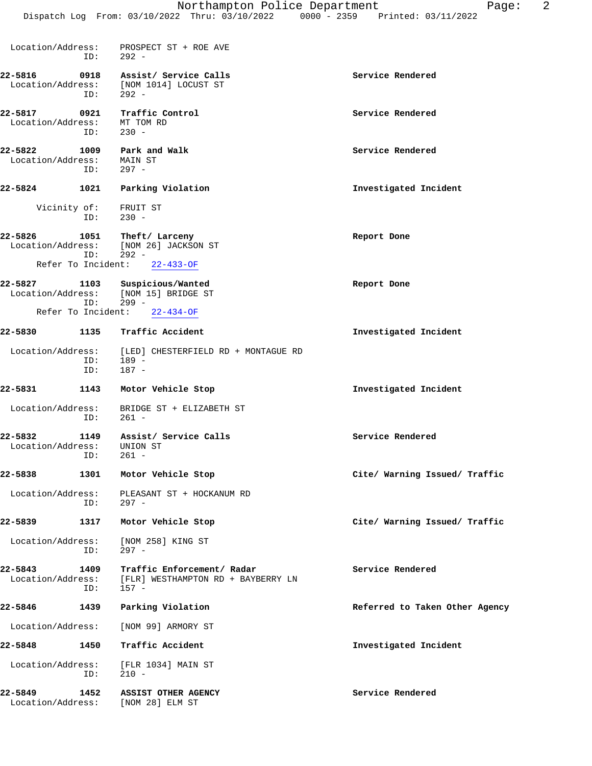|                                      |             | Northampton Police Department<br>Dispatch Log From: 03/10/2022 Thru: 03/10/2022 0000 - 2359 Printed: 03/11/2022 | 2<br>Page:                     |
|--------------------------------------|-------------|-----------------------------------------------------------------------------------------------------------------|--------------------------------|
| Location/Address:                    | ID:         | PROSPECT ST + ROE AVE<br>$292 -$                                                                                |                                |
| 22-5816<br>Location/Address:         | 0918<br>ID: | Assist/ Service Calls<br>[NOM 1014] LOCUST ST<br>$292 -$                                                        | Service Rendered               |
| 22-5817<br>Location/Address:         | 0921<br>ID: | Traffic Control<br>MT TOM RD<br>$230 -$                                                                         | Service Rendered               |
| 22-5822<br>Location/Address:         | 1009<br>ID: | Park and Walk<br>MAIN ST<br>$297 -$                                                                             | Service Rendered               |
| 22-5824                              | 1021        | Parking Violation                                                                                               | Investigated Incident          |
| Vicinity of:                         | ID:         | FRUIT ST<br>$230 -$                                                                                             |                                |
| 22-5826<br>Refer To Incident:        | ID:         | 1051 Theft/Larceny<br>Location/Address: [NOM 26] JACKSON ST<br>292 -<br>$22 - 433 - OF$                         | Report Done                    |
| 22-5827<br>Refer To Incident:        | ID:         | 1103 Suspicious/Wanted<br>Location/Address: [NOM 15] BRIDGE ST<br>$299 -$<br>$22 - 434 - OF$                    | Report Done                    |
| 22-5830                              | 1135        | Traffic Accident                                                                                                | Investigated Incident          |
| Location/Address:                    | ID:<br>ID:  | [LED] CHESTERFIELD RD + MONTAGUE RD<br>$189 -$<br>$187 -$                                                       |                                |
| 22-5831                              | 1143        | Motor Vehicle Stop                                                                                              | Investigated Incident          |
| Location/Address:                    | ID:         | BRIDGE ST + ELIZABETH ST<br>$261 -$                                                                             |                                |
| 22-5832<br>1149<br>Location/Address: | ID:         | Assist/ Service Calls<br>UNION ST<br>$261 -$                                                                    | Service Rendered               |
| 22-5838                              | 1301        | Motor Vehicle Stop                                                                                              | Cite/ Warning Issued/ Traffic  |
| Location/Address:                    | ID:         | PLEASANT ST + HOCKANUM RD<br>$297 -$                                                                            |                                |
| 22-5839                              | 1317        | Motor Vehicle Stop                                                                                              | Cite/ Warning Issued/ Traffic  |
| Location/Address:                    | ID:         | [NOM 258] KING ST<br>297 -                                                                                      |                                |
| 22-5843<br>Location/Address:         | 1409<br>ID: | Traffic Enforcement/ Radar<br>[FLR] WESTHAMPTON RD + BAYBERRY LN<br>$157 -$                                     | Service Rendered               |
| 22-5846                              | 1439        | Parking Violation                                                                                               | Referred to Taken Other Agency |
| Location/Address:                    |             | [NOM 99] ARMORY ST                                                                                              |                                |
| 22-5848                              | 1450        | Traffic Accident                                                                                                | Investigated Incident          |
| Location/Address:                    | ID:         | [FLR 1034] MAIN ST<br>$210 -$                                                                                   |                                |

**22-5849 1452 ASSIST OTHER AGENCY Service Rendered** Location/Address: [NOM 28] ELM ST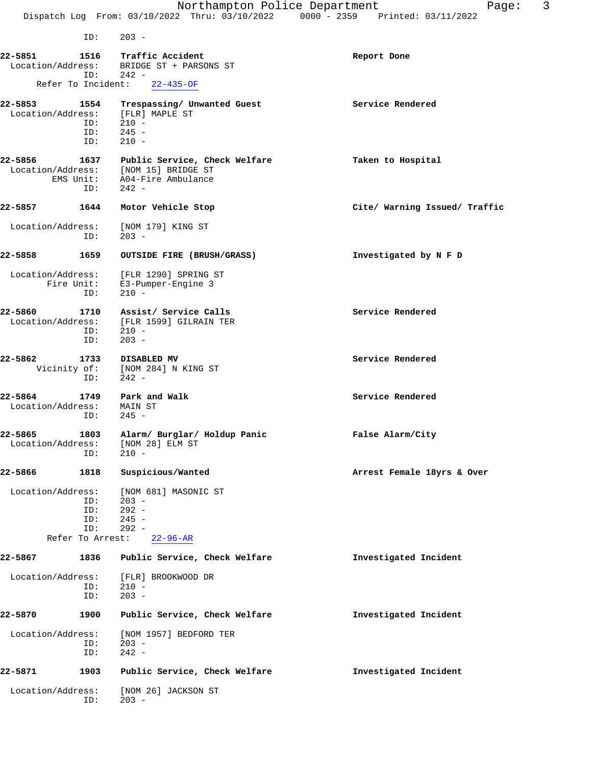ID: 203 - **22-5851 1516 Traffic Accident Report Done** Location/Address: BRIDGE ST + PARSONS ST Address: BRIDGE ST + PAR<br>ID: 242 -<br>Pr To Incident: 22-435-OF Refer To Incident: **22-5853 1554 Trespassing/ Unwanted Guest Service Rendered** Location/Address: [FLR] MAPLE ST<br>ID: 210 -ID: 210 -<br>ID: 245 - ID: 245 - ID: 210 - **22-5856 1637 Public Service, Check Welfare Taken to Hospital** Location/Address: [NOM 15] BRIDGE ST<br>EMS Unit: A04-Fire Ambulance A04-Fire Ambulance ID: 242 - **22-5857 1644 Motor Vehicle Stop Cite/ Warning Issued/ Traffic** Location/Address: [NOM 179] KING ST ID: 203 - **22-5858 1659 OUTSIDE FIRE (BRUSH/GRASS) Investigated by N F D** Location/Address: [FLR 1290] SPRING ST<br>Fire Unit: E3-Pumper-Engine 3 E3-Pumper-Engine 3 ID: 210 - 22-5860 1710 Assist/ Service Calls **1710** Service Rendered Location/Address: [FLR 1599] GILRAIN TER<br>ID: 210 - $\frac{1}{210}$  - ID: 203 - **22-5862 1733 DISABLED MV** Service Rendered Vicinity of: [NOM 284] N KING ST [NOM 284] N KING ST ID: 242 - **22-5864 1749 Park and Walk Service Rendered** Location/Address: MAIN ST ID: 245 - **22-5865 1803 Alarm/ Burglar/ Holdup Panic False Alarm/City** Location/Address: [NOM 28] ELM ST ess:<br>ID: 210 -**22-5866 1818 Suspicious/Wanted Arrest Female 18yrs & Over** Location/Address: [NOM 681] MASONIC ST<br>ID: 203 -ID: 203 -<br>ID: 292 - ID: 292 - ID: 245 - ID: 292 - Refer To Arrest: 22-96-AR **22-5867 1836 Public Service, Check Welfare Investigated Incident** Location/Address: [FLR] BROOKWOOD DR ID: 210 -<br>ID: 203 - ID: 203 - **22-5870 1900 Public Service, Check Welfare Investigated Incident** Location/Address: [NOM 1957] BEDFORD TER ID: 203 - ID: 242 - **22-5871 1903 Public Service, Check Welfare Investigated Incident** Location/Address: [NOM 26] JACKSON ST<br>ID: 203 - $203 -$